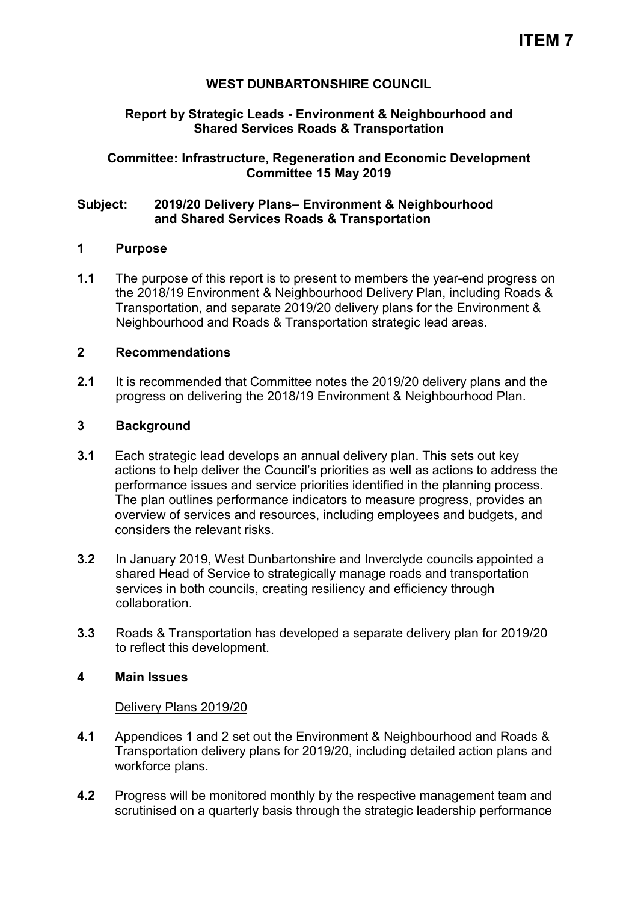# **WEST DUNBARTONSHIRE COUNCIL**

## **Report by Strategic Leads - Environment & Neighbourhood and Shared Services Roads & Transportation**

**Committee: Infrastructure, Regeneration and Economic Development Committee 15 May 2019** 

## **Subject: 2019/20 Delivery Plans– Environment & Neighbourhood and Shared Services Roads & Transportation**

## **1 Purpose**

**1.1** The purpose of this report is to present to members the year-end progress on the 2018/19 Environment & Neighbourhood Delivery Plan, including Roads & Transportation, and separate 2019/20 delivery plans for the Environment & Neighbourhood and Roads & Transportation strategic lead areas.

## **2 Recommendations**

**2.1** It is recommended that Committee notes the 2019/20 delivery plans and the progress on delivering the 2018/19 Environment & Neighbourhood Plan.

## **3 Background**

- **3.1** Each strategic lead develops an annual delivery plan. This sets out key actions to help deliver the Council's priorities as well as actions to address the performance issues and service priorities identified in the planning process. The plan outlines performance indicators to measure progress, provides an overview of services and resources, including employees and budgets, and considers the relevant risks.
- **3.2** In January 2019, West Dunbartonshire and Inverclyde councils appointed a shared Head of Service to strategically manage roads and transportation services in both councils, creating resiliency and efficiency through collaboration.
- **3.3** Roads & Transportation has developed a separate delivery plan for 2019/20 to reflect this development.

## **4 Main Issues**

#### Delivery Plans 2019/20

- **4.1** Appendices 1 and 2 set out the Environment & Neighbourhood and Roads & Transportation delivery plans for 2019/20, including detailed action plans and workforce plans.
- **4.2** Progress will be monitored monthly by the respective management team and scrutinised on a quarterly basis through the strategic leadership performance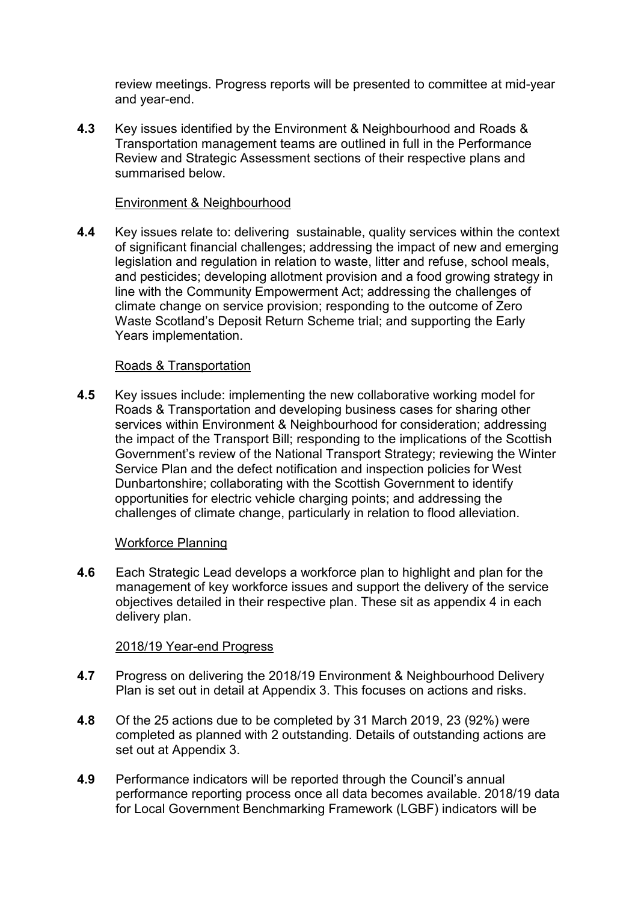review meetings. Progress reports will be presented to committee at mid-year and year-end.

**4.3** Key issues identified by the Environment & Neighbourhood and Roads & Transportation management teams are outlined in full in the Performance Review and Strategic Assessment sections of their respective plans and summarised below.

## Environment & Neighbourhood

**4.4** Key issues relate to: delivering sustainable, quality services within the context of significant financial challenges; addressing the impact of new and emerging legislation and regulation in relation to waste, litter and refuse, school meals, and pesticides; developing allotment provision and a food growing strategy in line with the Community Empowerment Act; addressing the challenges of climate change on service provision; responding to the outcome of Zero Waste Scotland's Deposit Return Scheme trial; and supporting the Early Years implementation.

# Roads & Transportation

**4.5** Key issues include: implementing the new collaborative working model for Roads & Transportation and developing business cases for sharing other services within Environment & Neighbourhood for consideration; addressing the impact of the Transport Bill; responding to the implications of the Scottish Government's review of the National Transport Strategy; reviewing the Winter Service Plan and the defect notification and inspection policies for West Dunbartonshire; collaborating with the Scottish Government to identify opportunities for electric vehicle charging points; and addressing the challenges of climate change, particularly in relation to flood alleviation.

## Workforce Planning

**4.6** Each Strategic Lead develops a workforce plan to highlight and plan for the management of key workforce issues and support the delivery of the service objectives detailed in their respective plan. These sit as appendix 4 in each delivery plan.

## 2018/19 Year-end Progress

- **4.7** Progress on delivering the 2018/19 Environment & Neighbourhood Delivery Plan is set out in detail at Appendix 3. This focuses on actions and risks.
- **4.8** Of the 25 actions due to be completed by 31 March 2019, 23 (92%) were completed as planned with 2 outstanding. Details of outstanding actions are set out at Appendix 3.
- **4.9** Performance indicators will be reported through the Council's annual performance reporting process once all data becomes available. 2018/19 data for Local Government Benchmarking Framework (LGBF) indicators will be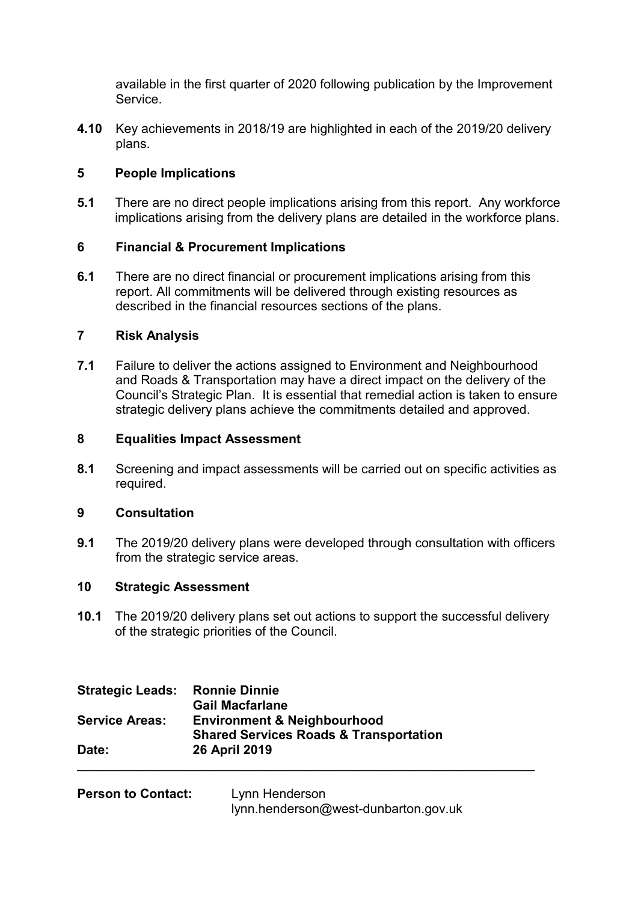available in the first quarter of 2020 following publication by the Improvement Service.

**4.10** Key achievements in 2018/19 are highlighted in each of the 2019/20 delivery plans.

# **5 People Implications**

**5.1** There are no direct people implications arising from this report. Any workforce implications arising from the delivery plans are detailed in the workforce plans.

# **6 Financial & Procurement Implications**

**6.1** There are no direct financial or procurement implications arising from this report. All commitments will be delivered through existing resources as described in the financial resources sections of the plans.

# **7 Risk Analysis**

**7.1** Failure to deliver the actions assigned to Environment and Neighbourhood and Roads & Transportation may have a direct impact on the delivery of the Council's Strategic Plan. It is essential that remedial action is taken to ensure strategic delivery plans achieve the commitments detailed and approved.

# **8 Equalities Impact Assessment**

**8.1** Screening and impact assessments will be carried out on specific activities as required.

# **9 Consultation**

**9.1** The 2019/20 delivery plans were developed through consultation with officers from the strategic service areas.

# **10 Strategic Assessment**

**10.1** The 2019/20 delivery plans set out actions to support the successful delivery of the strategic priorities of the Council.

| <b>Strategic Leads:</b> | <b>Ronnie Dinnie</b>                              |
|-------------------------|---------------------------------------------------|
|                         | <b>Gail Macfarlane</b>                            |
| <b>Service Areas:</b>   | <b>Environment &amp; Neighbourhood</b>            |
|                         | <b>Shared Services Roads &amp; Transportation</b> |
| Date:                   | 26 April 2019                                     |
|                         |                                                   |